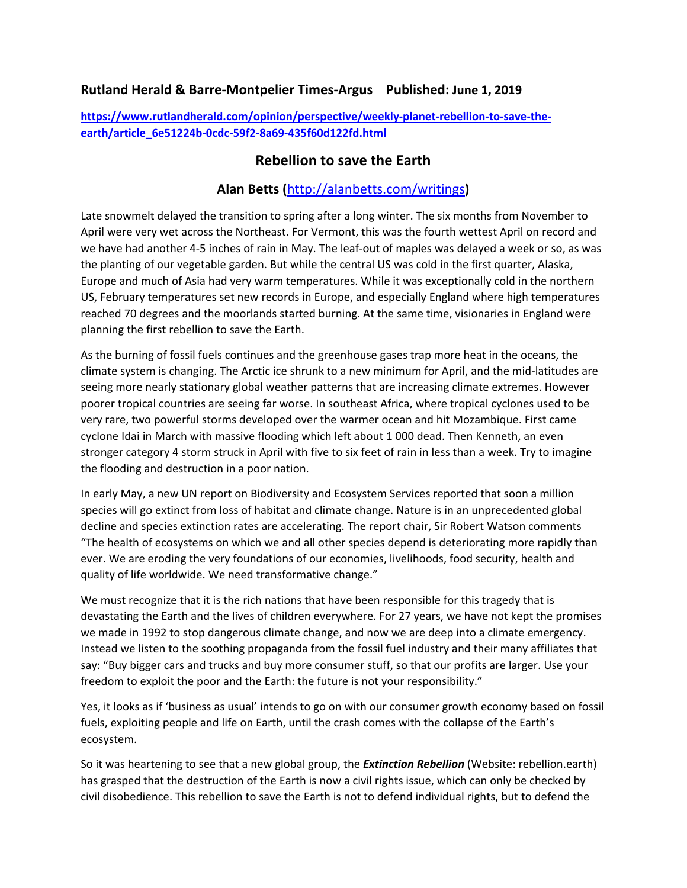## **Rutland Herald & Barre-Montpelier Times-Argus Published: June 1, 2019**

**[https://www.rutlandherald.com/opinion/perspective/weekly-planet-rebellion-to-save-the](https://www.rutlandherald.com/opinion/perspective/weekly-planet-rebellion-to-save-the-earth/article_6e51224b-0cdc-59f2-8a69-435f60d122fd.html)[earth/article\\_6e51224b-0cdc-59f2-8a69-435f60d122fd.html](https://www.rutlandherald.com/opinion/perspective/weekly-planet-rebellion-to-save-the-earth/article_6e51224b-0cdc-59f2-8a69-435f60d122fd.html)**

## **Rebellion to save the Earth**

## **Alan Betts (**<http://alanbetts.com/writings>**)**

Late snowmelt delayed the transition to spring after a long winter. The six months from November to April were very wet across the Northeast. For Vermont, this was the fourth wettest April on record and we have had another 4-5 inches of rain in May. The leaf-out of maples was delayed a week or so, as was the planting of our vegetable garden. But while the central US was cold in the first quarter, Alaska, Europe and much of Asia had very warm temperatures. While it was exceptionally cold in the northern US, February temperatures set new records in Europe, and especially England where high temperatures reached 70 degrees and the moorlands started burning. At the same time, visionaries in England were planning the first rebellion to save the Earth.

As the burning of fossil fuels continues and the greenhouse gases trap more heat in the oceans, the climate system is changing. The Arctic ice shrunk to a new minimum for April, and the mid-latitudes are seeing more nearly stationary global weather patterns that are increasing climate extremes. However poorer tropical countries are seeing far worse. In southeast Africa, where tropical cyclones used to be very rare, two powerful storms developed over the warmer ocean and hit Mozambique. First came cyclone Idai in March with massive flooding which left about 1 000 dead. Then Kenneth, an even stronger category 4 storm struck in April with five to six feet of rain in less than a week. Try to imagine the flooding and destruction in a poor nation.

In early May, a new UN report on Biodiversity and Ecosystem Services reported that soon a million species will go extinct from loss of habitat and climate change. Nature is in an unprecedented global decline and species extinction rates are accelerating. The report chair, Sir Robert Watson comments "The health of ecosystems on which we and all other species depend is deteriorating more rapidly than ever. We are eroding the very foundations of our economies, livelihoods, food security, health and quality of life worldwide. We need transformative change."

We must recognize that it is the rich nations that have been responsible for this tragedy that is devastating the Earth and the lives of children everywhere. For 27 years, we have not kept the promises we made in 1992 to stop dangerous climate change, and now we are deep into a climate emergency. Instead we listen to the soothing propaganda from the fossil fuel industry and their many affiliates that say: "Buy bigger cars and trucks and buy more consumer stuff, so that our profits are larger. Use your freedom to exploit the poor and the Earth: the future is not your responsibility."

Yes, it looks as if 'business as usual' intends to go on with our consumer growth economy based on fossil fuels, exploiting people and life on Earth, until the crash comes with the collapse of the Earth's ecosystem.

So it was heartening to see that a new global group, the *Extinction Rebellion* (Website: rebellion.earth) has grasped that the destruction of the Earth is now a civil rights issue, which can only be checked by civil disobedience. This rebellion to save the Earth is not to defend individual rights, but to defend the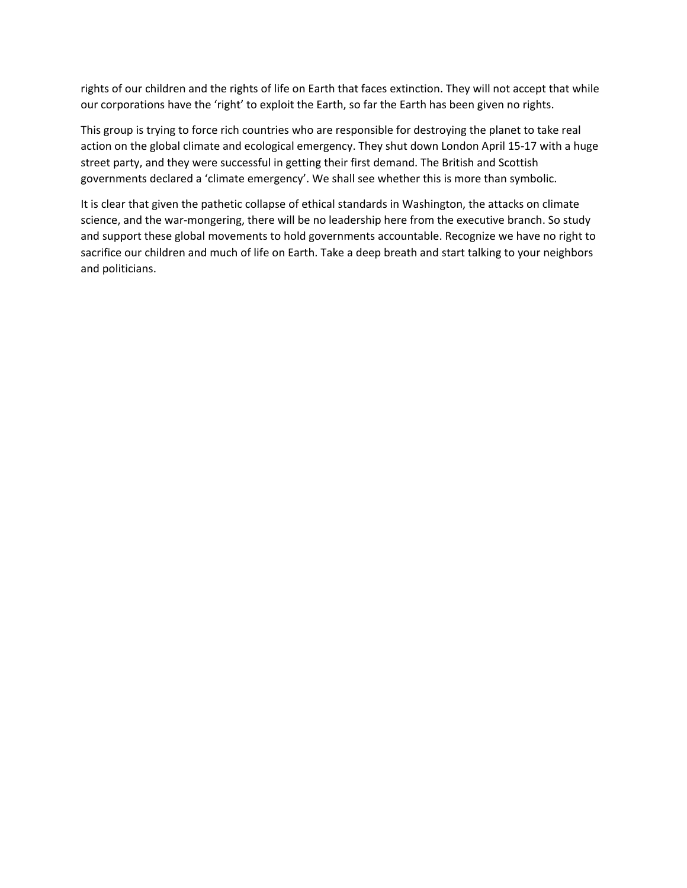rights of our children and the rights of life on Earth that faces extinction. They will not accept that while our corporations have the 'right' to exploit the Earth, so far the Earth has been given no rights.

This group is trying to force rich countries who are responsible for destroying the planet to take real action on the global climate and ecological emergency. They shut down London April 15-17 with a huge street party, and they were successful in getting their first demand. The British and Scottish governments declared a 'climate emergency'. We shall see whether this is more than symbolic.

It is clear that given the pathetic collapse of ethical standards in Washington, the attacks on climate science, and the war-mongering, there will be no leadership here from the executive branch. So study and support these global movements to hold governments accountable. Recognize we have no right to sacrifice our children and much of life on Earth. Take a deep breath and start talking to your neighbors and politicians.